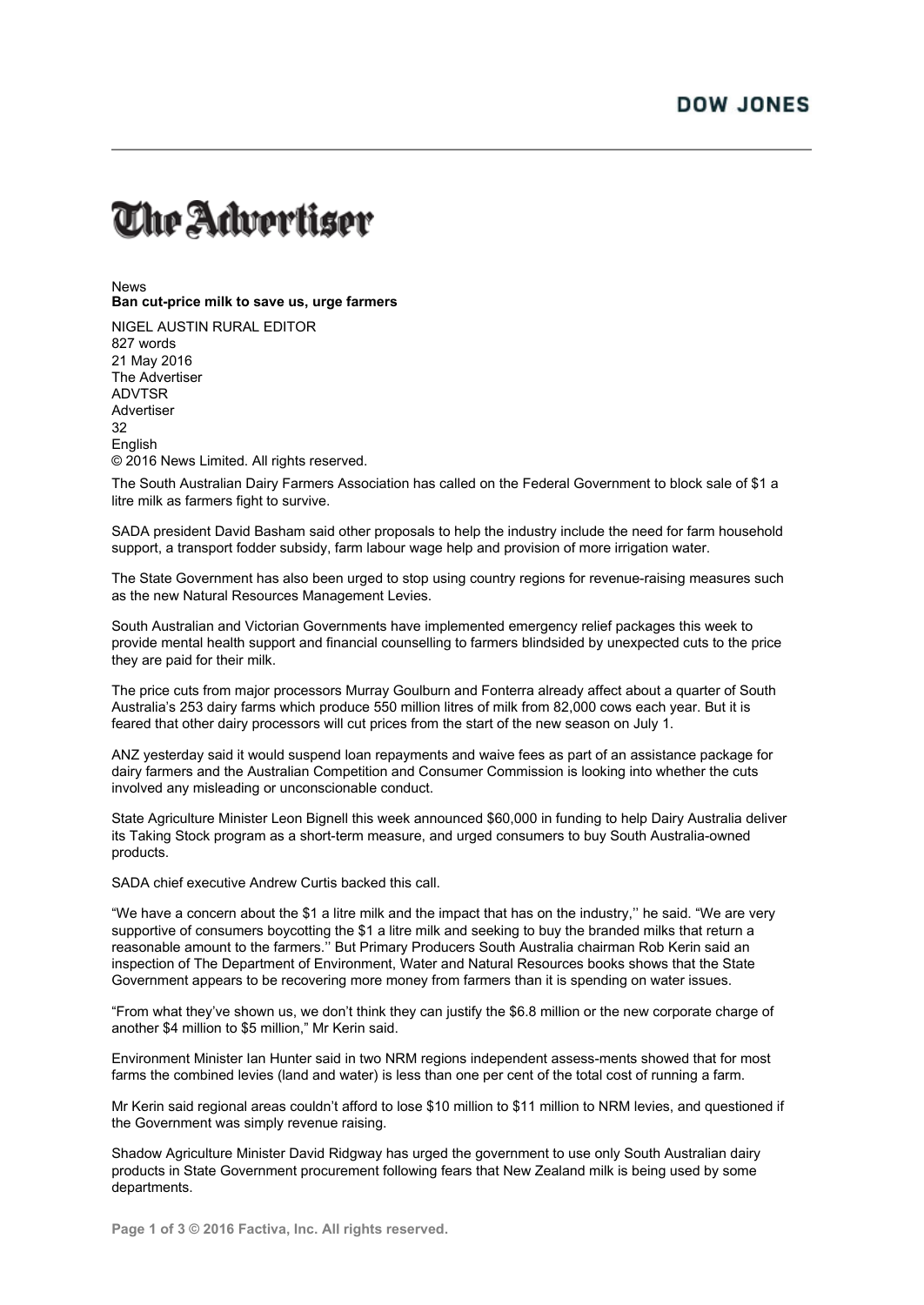## The Advertiser

News **Ban cut-price milk to save us, urge farmers**

NIGEL AUSTIN RURAL EDITOR 827 words 21 May 2016 The Advertiser ADVTSR Advertiser 32 **English** © 2016 News Limited. All rights reserved.

The South Australian Dairy Farmers Association has called on the Federal Government to block sale of \$1 a litre milk as farmers fight to survive.

SADA president David Basham said other proposals to help the industry include the need for farm household support, a transport fodder subsidy, farm labour wage help and provision of more irrigation water.

The State Government has also been urged to stop using country regions for revenue-raising measures such as the new Natural Resources Management Levies.

South Australian and Victorian Governments have implemented emergency relief packages this week to provide mental health support and financial counselling to farmers blindsided by unexpected cuts to the price they are paid for their milk.

The price cuts from major processors Murray Goulburn and Fonterra already affect about a quarter of South Australia's 253 dairy farms which produce 550 million litres of milk from 82,000 cows each year. But it is feared that other dairy processors will cut prices from the start of the new season on July 1.

ANZ yesterday said it would suspend loan repayments and waive fees as part of an assistance package for dairy farmers and the Australian Competition and Consumer Commission is looking into whether the cuts involved any misleading or unconscionable conduct.

State Agriculture Minister Leon Bignell this week announced \$60,000 in funding to help Dairy Australia deliver its Taking Stock program as a short-term measure, and urged consumers to buy South Australia-owned products.

SADA chief executive Andrew Curtis backed this call.

"We have a concern about the \$1 a litre milk and the impact that has on the industry,'' he said. "We are very supportive of consumers boycotting the \$1 a litre milk and seeking to buy the branded milks that return a reasonable amount to the farmers.'' But Primary Producers South Australia chairman Rob Kerin said an inspection of The Department of Environment, Water and Natural Resources books shows that the State Government appears to be recovering more money from farmers than it is spending on water issues.

"From what they've shown us, we don't think they can justify the \$6.8 million or the new corporate charge of another \$4 million to \$5 million," Mr Kerin said.

Environment Minister Ian Hunter said in two NRM regions independent assess-ments showed that for most farms the combined levies (land and water) is less than one per cent of the total cost of running a farm.

Mr Kerin said regional areas couldn't afford to lose \$10 million to \$11 million to NRM levies, and questioned if the Government was simply revenue raising.

Shadow Agriculture Minister David Ridgway has urged the government to use only South Australian dairy products in State Government procurement following fears that New Zealand milk is being used by some departments.

**Page 1 of 3 © 2016 Factiva, Inc. All rights reserved.**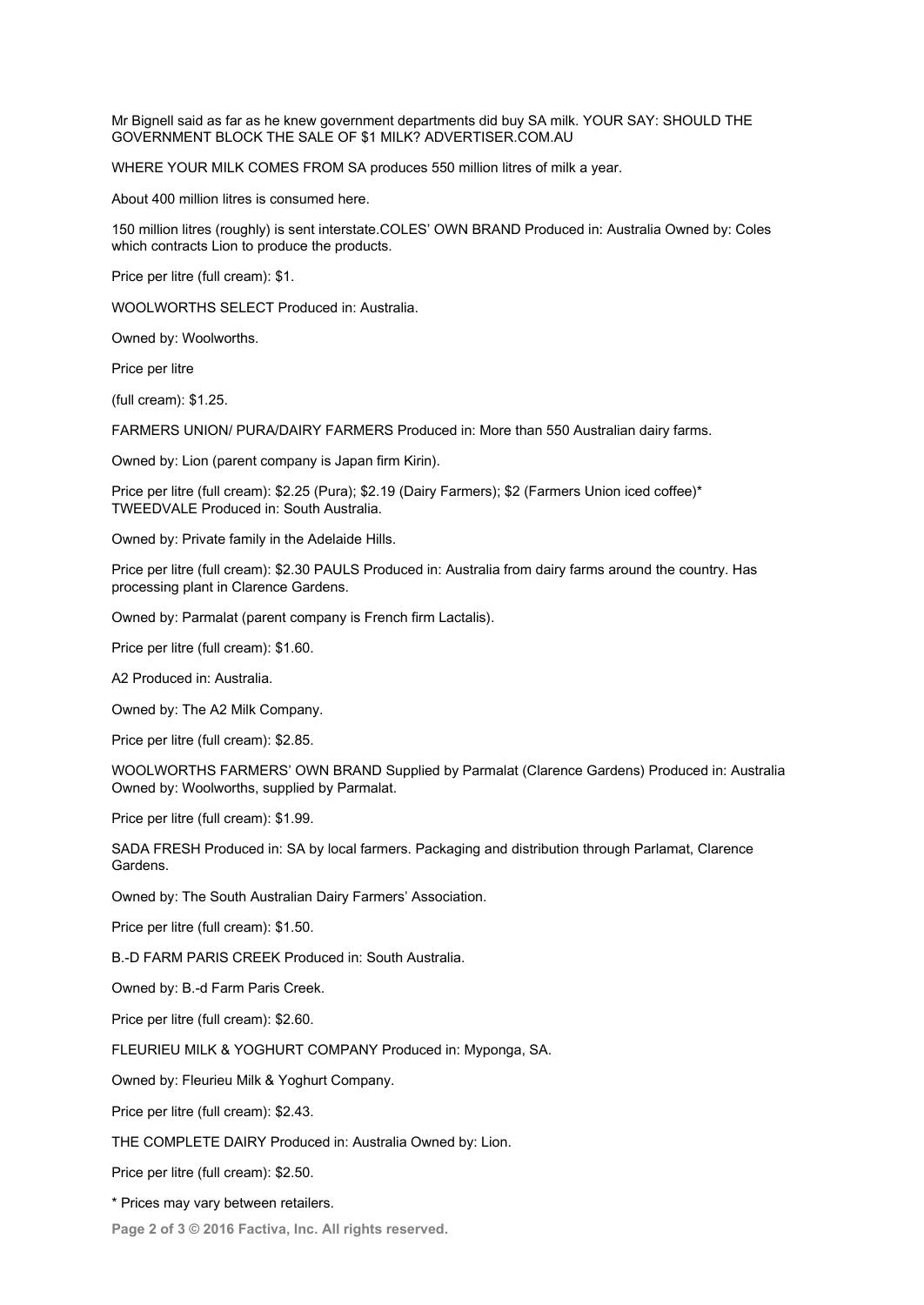Mr Bignell said as far as he knew government departments did buy SA milk. YOUR SAY: SHOULD THE GOVERNMENT BLOCK THE SALE OF \$1 MILK? ADVERTISER.COM.AU

WHERE YOUR MILK COMES FROM SA produces 550 million litres of milk a year.

About 400 million litres is consumed here.

150 million litres (roughly) is sent interstate.COLES' OWN BRAND Produced in: Australia Owned by: Coles which contracts Lion to produce the products.

Price per litre (full cream): \$1.

WOOLWORTHS SELECT Produced in: Australia.

Owned by: Woolworths.

Price per litre

(full cream): \$1.25.

FARMERS UNION/ PURA/DAIRY FARMERS Produced in: More than 550 Australian dairy farms.

Owned by: Lion (parent company is Japan firm Kirin).

Price per litre (full cream): \$2.25 (Pura); \$2.19 (Dairy Farmers); \$2 (Farmers Union iced coffee)\* TWEEDVALE Produced in: South Australia.

Owned by: Private family in the Adelaide Hills.

Price per litre (full cream): \$2.30 PAULS Produced in: Australia from dairy farms around the country. Has processing plant in Clarence Gardens.

Owned by: Parmalat (parent company is French firm Lactalis).

Price per litre (full cream): \$1.60.

A2 Produced in: Australia.

Owned by: The A2 Milk Company.

Price per litre (full cream): \$2.85.

WOOLWORTHS FARMERS' OWN BRAND Supplied by Parmalat (Clarence Gardens) Produced in: Australia Owned by: Woolworths, supplied by Parmalat.

Price per litre (full cream): \$1.99.

SADA FRESH Produced in: SA by local farmers. Packaging and distribution through Parlamat, Clarence Gardens.

Owned by: The South Australian Dairy Farmers' Association.

Price per litre (full cream): \$1.50.

B.-D FARM PARIS CREEK Produced in: South Australia.

Owned by: B.-d Farm Paris Creek.

Price per litre (full cream): \$2.60.

FLEURIEU MILK & YOGHURT COMPANY Produced in: Myponga, SA.

Owned by: Fleurieu Milk & Yoghurt Company.

Price per litre (full cream): \$2.43.

THE COMPLETE DAIRY Produced in: Australia Owned by: Lion.

Price per litre (full cream): \$2.50.

\* Prices may vary between retailers.

**Page 2 of 3 © 2016 Factiva, Inc. All rights reserved.**